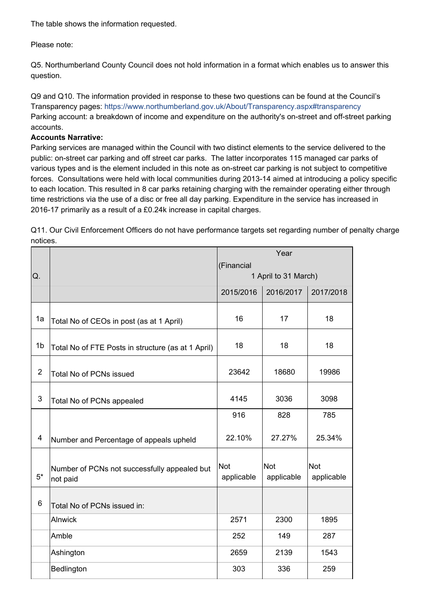The table shows the information requested.

Please note:

Q5. Northumberland County Council does not hold information in a format which enables us to answer this question.

Q9 and Q10. The information provided in response to these two questions can be found at the Council's Transparency pages: https://www.northumberland.gov.uk/About/Transparency.aspx#transparency Parking account: a breakdown of income and expenditure on the authority's on-street and off-street parking accounts.

## **Accounts Narrative:**

Parking services are managed within the Council with two distinct elements to the service delivered to the public: on-street car parking and off street car parks. The latter incorporates 115 managed car parks of various types and is the element included in this note as on-street car parking is not subject to competitive forces. Consultations were held with local communities during 2013-14 aimed at introducing a policy specific to each location. This resulted in 8 car parks retaining charging with the remainder operating either through time restrictions via the use of a disc or free all day parking. Expenditure in the service has increased in 2016-17 primarily as a result of a £0.24k increase in capital charges.

Q11. Our Civil Enforcement Officers do not have performance targets set regarding number of penalty charge notices.

|                |                                                          | Year<br>(Financial       |                          |                          |
|----------------|----------------------------------------------------------|--------------------------|--------------------------|--------------------------|
| Q.             |                                                          |                          |                          |                          |
|                |                                                          | 1 April to 31 March)     |                          |                          |
|                |                                                          | 2015/2016                | 2016/2017                | 2017/2018                |
| 1a             | Total No of CEOs in post (as at 1 April)                 | 16                       | 17                       | 18                       |
| 1 <sub>b</sub> | Total No of FTE Posts in structure (as at 1 April)       | 18                       | 18                       | 18                       |
| $\overline{2}$ | <b>Total No of PCNs issued</b>                           | 23642                    | 18680                    | 19986                    |
| 3              | Total No of PCNs appealed                                | 4145                     | 3036                     | 3098                     |
|                |                                                          | 916                      | 828                      | 785                      |
| 4              | Number and Percentage of appeals upheld                  | 22.10%                   | 27.27%                   | 25.34%                   |
| $5*$           | Number of PCNs not successfully appealed but<br>not paid | <b>Not</b><br>applicable | <b>Not</b><br>applicable | <b>Not</b><br>applicable |
| 6              | Total No of PCNs issued in:                              |                          |                          |                          |
|                | <b>Alnwick</b>                                           | 2571                     | 2300                     | 1895                     |
|                | Amble                                                    | 252                      | 149                      | 287                      |
|                | Ashington                                                | 2659                     | 2139                     | 1543                     |
|                | Bedlington                                               | 303                      | 336                      | 259                      |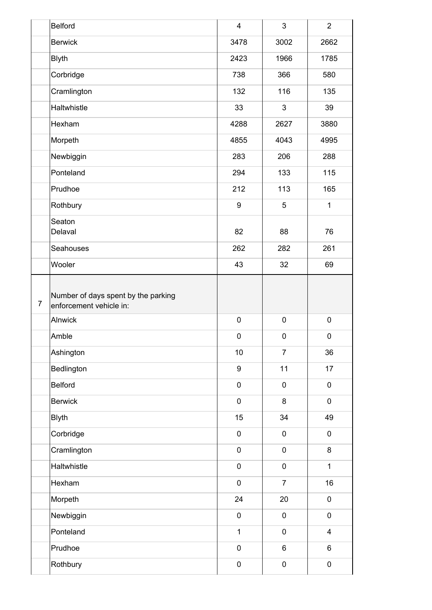|                | <b>Belford</b>                                                 | $\overline{\mathbf{4}}$ | 3              | $\overline{2}$ |
|----------------|----------------------------------------------------------------|-------------------------|----------------|----------------|
|                | <b>Berwick</b>                                                 | 3478                    | 3002           | 2662           |
|                | <b>Blyth</b>                                                   | 2423                    | 1966           | 1785           |
|                | Corbridge                                                      | 738                     | 366            | 580            |
|                | Cramlington                                                    | 132                     | 116            | 135            |
|                | Haltwhistle                                                    | 33                      | $\mathfrak{B}$ | 39             |
|                | Hexham                                                         | 4288                    | 2627           | 3880           |
|                | Morpeth                                                        | 4855                    | 4043           | 4995           |
|                | Newbiggin                                                      | 283                     | 206            | 288            |
|                | Ponteland                                                      | 294                     | 133            | 115            |
|                | Prudhoe                                                        | 212                     | 113            | 165            |
|                | Rothbury                                                       | 9                       | 5              | $\mathbf{1}$   |
|                | Seaton                                                         |                         |                |                |
|                | Delaval                                                        | 82                      | 88             | 76             |
|                | Seahouses                                                      | 262                     | 282            | 261            |
|                | Wooler                                                         | 43                      | 32             | 69             |
| $\overline{7}$ | Number of days spent by the parking<br>enforcement vehicle in: |                         |                |                |
|                | Alnwick                                                        | $\pmb{0}$               | $\pmb{0}$      | $\pmb{0}$      |
|                | Amble                                                          | $\boldsymbol{0}$        | $\pmb{0}$      | $\pmb{0}$      |
|                | Ashington                                                      | 10                      | $\overline{7}$ | 36             |
|                | Bedlington                                                     | $\boldsymbol{9}$        | 11             | 17             |
|                | <b>Belford</b>                                                 | $\pmb{0}$               | $\pmb{0}$      | $\pmb{0}$      |
|                | <b>Berwick</b>                                                 | $\pmb{0}$               | 8              | $\pmb{0}$      |
|                | <b>Blyth</b>                                                   | 15                      | 34             | 49             |
|                | Corbridge                                                      | $\pmb{0}$               | $\pmb{0}$      | $\pmb{0}$      |
|                | Cramlington                                                    | $\pmb{0}$               | $\pmb{0}$      | 8              |
|                | Haltwhistle                                                    | $\pmb{0}$               | $\pmb{0}$      | $\mathbf 1$    |
|                | Hexham                                                         | $\pmb{0}$               | $\overline{7}$ | 16             |
|                | Morpeth                                                        | 24                      | 20             | $\pmb{0}$      |
|                | Newbiggin                                                      | $\pmb{0}$               | $\pmb{0}$      | $\pmb{0}$      |
|                | Ponteland                                                      | $\mathbf 1$             | $\pmb{0}$      | $\overline{4}$ |
|                | Prudhoe                                                        | $\mathsf 0$             | $\,6\,$        | $6\phantom{a}$ |
|                | Rothbury                                                       | $\pmb{0}$               | $\pmb{0}$      | $\pmb{0}$      |